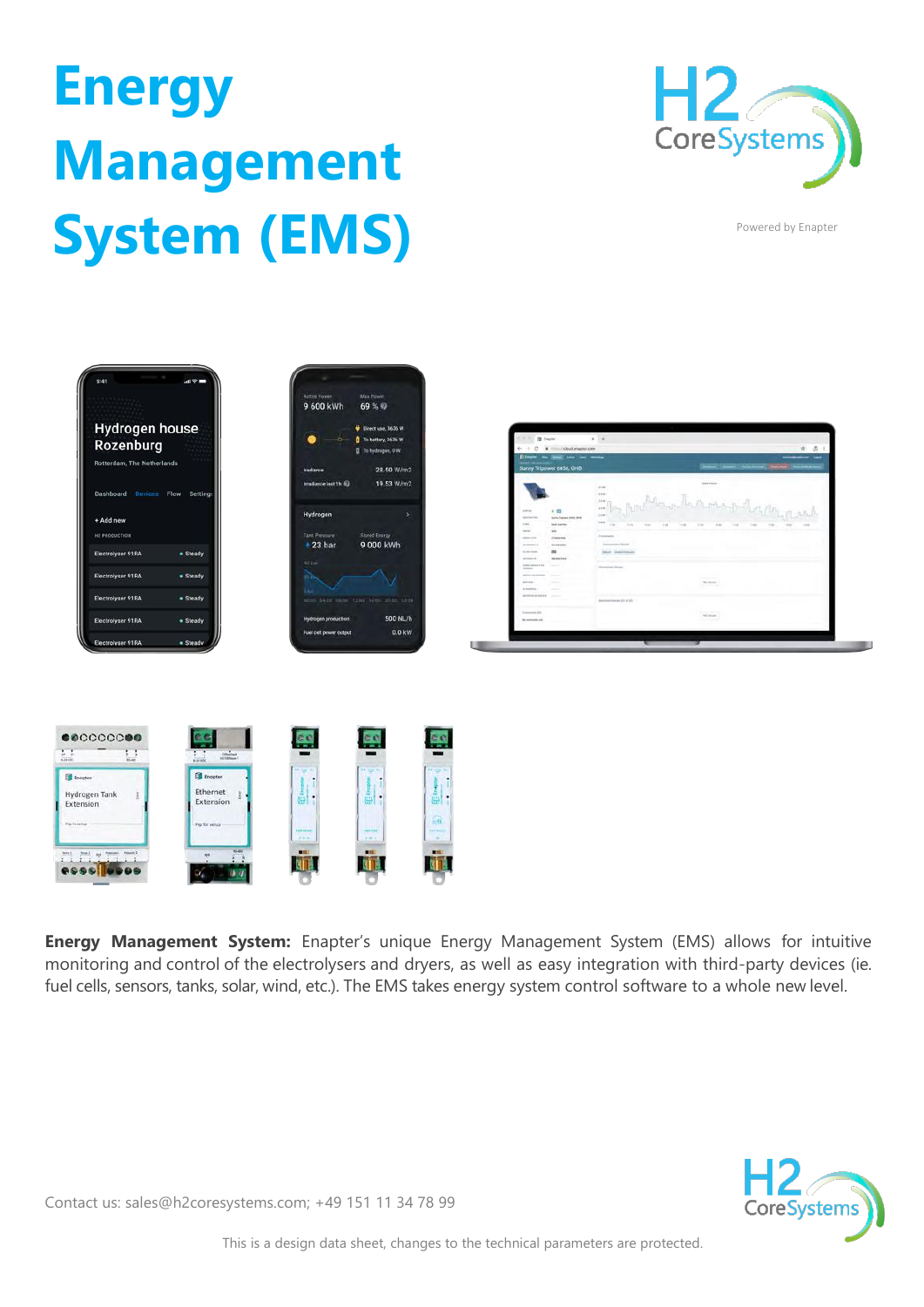## **Energy Management System (EMS)**



Powered by Enapter







**Energy Management System:** Enapter's unique Energy Management System (EMS) allows for intuitive monitoring and control of the electrolysers and dryers, as well as easy integration with third-party devices (ie. fuel cells, sensors, tanks, solar, wind, etc.). The EMS takes energy system control software to a whole new level.



Contact us: sales@h2coresystems.com; +49 151 11 34 78 99